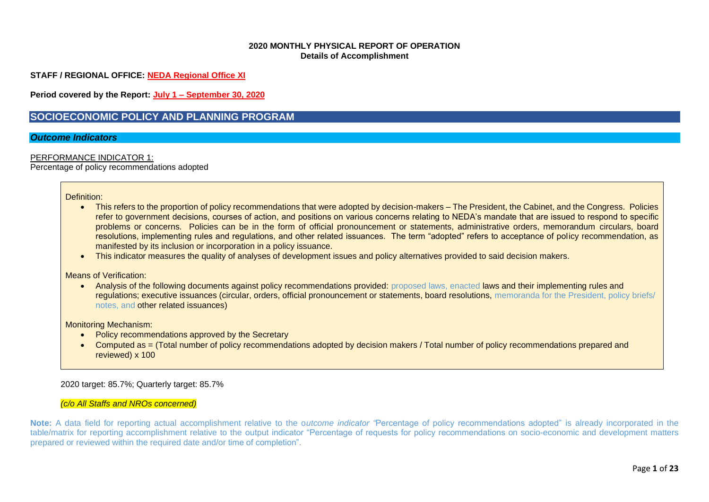#### **2020 MONTHLY PHYSICAL REPORT OF OPERATION Details of Accomplishment**

**STAFF / REGIONAL OFFICE: NEDA Regional Office XI**

**Period covered by the Report: July 1 – September 30, 2020**

## **SOCIOECONOMIC POLICY AND PLANNING PROGRAM**

### *Outcome Indicators*

### PERFORMANCE INDICATOR 1:

Percentage of policy recommendations adopted

#### Definition:

- This refers to the proportion of policy recommendations that were adopted by decision-makers The President, the Cabinet, and the Congress. Policies refer to government decisions, courses of action, and positions on various concerns relating to NEDA's mandate that are issued to respond to specific problems or concerns. Policies can be in the form of official pronouncement or statements, administrative orders, memorandum circulars, board resolutions, implementing rules and regulations, and other related issuances. The term "adopted" refers to acceptance of policy recommendation, as manifested by its inclusion or incorporation in a policy issuance.
- This indicator measures the quality of analyses of development issues and policy alternatives provided to said decision makers.

#### Means of Verification:

• Analysis of the following documents against policy recommendations provided: proposed laws, enacted laws and their implementing rules and regulations; executive issuances (circular, orders, official pronouncement or statements, board resolutions, memoranda for the President, policy briefs/ notes, and other related issuances)

#### Monitoring Mechanism:

- Policy recommendations approved by the Secretary
- Computed as = (Total number of policy recommendations adopted by decision makers / Total number of policy recommendations prepared and reviewed) x 100

### 2020 target: 85.7%; Quarterly target: 85.7%

#### *(c/o All Staffs and NROs concerned)*

**Note:** A data field for reporting actual accomplishment relative to the o*utcome indicator "*Percentage of policy recommendations adopted" is already incorporated in the table/matrix for reporting accomplishment relative to the output indicator "Percentage of requests for policy recommendations on socio-economic and development matters prepared or reviewed within the required date and/or time of completion".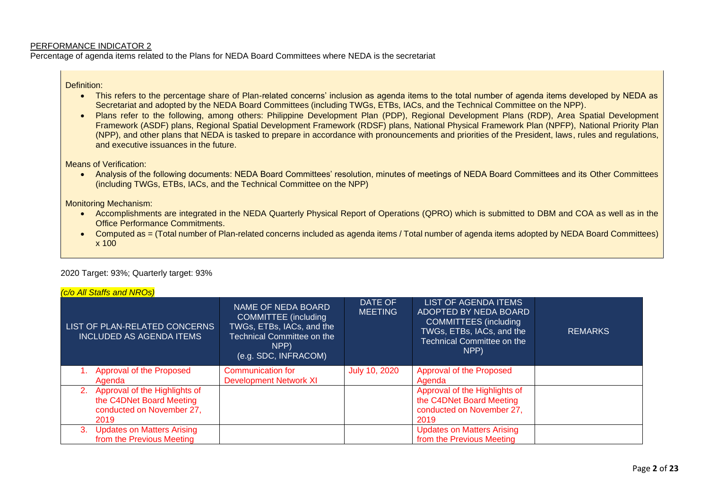Percentage of agenda items related to the Plans for NEDA Board Committees where NEDA is the secretariat

#### Definition:

- This refers to the percentage share of Plan-related concerns' inclusion as agenda items to the total number of agenda items developed by NEDA as Secretariat and adopted by the NEDA Board Committees (including TWGs, ETBs, IACs, and the Technical Committee on the NPP).
- Plans refer to the following, among others: Philippine Development Plan (PDP), Regional Development Plans (RDP), Area Spatial Development Framework (ASDF) plans, Regional Spatial Development Framework (RDSF) plans, National Physical Framework Plan (NPFP), National Priority Plan (NPP), and other plans that NEDA is tasked to prepare in accordance with pronouncements and priorities of the President, laws, rules and regulations, and executive issuances in the future.

Means of Verification:

• Analysis of the following documents: NEDA Board Committees' resolution, minutes of meetings of NEDA Board Committees and its Other Committees (including TWGs, ETBs, IACs, and the Technical Committee on the NPP)

Monitoring Mechanism:

- Accomplishments are integrated in the NEDA Quarterly Physical Report of Operations (QPRO) which is submitted to DBM and COA as well as in the Office Performance Commitments.
- Computed as = (Total number of Plan-related concerns included as agenda items / Total number of agenda items adopted by NEDA Board Committees) x 100

| (c/o All Staffs and NROs)                                                                         |                                                                                                                                              |                           |                                                                                                                                                                |                |
|---------------------------------------------------------------------------------------------------|----------------------------------------------------------------------------------------------------------------------------------------------|---------------------------|----------------------------------------------------------------------------------------------------------------------------------------------------------------|----------------|
| LIST OF PLAN-RELATED CONCERNS<br>INCLUDED AS AGENDA ITEMS                                         | NAME OF NEDA BOARD<br>COMMITTEE (including<br>TWGs, ETBs, IACs, and the<br><b>Technical Committee on the</b><br>NPP)<br>(e.g. SDC, INFRACOM) | DATE OF<br><b>MEETING</b> | <b>LIST OF AGENDA ITEMS</b><br>ADOPTED BY NEDA BOARD<br><b>COMMITTEES</b> (including<br>TWGs, ETBs, IACs, and the<br><b>Technical Committee on the</b><br>NPP) | <b>REMARKS</b> |
| Approval of the Proposed<br>Agenda                                                                | Communication for<br>Development Network XI                                                                                                  | July 10, 2020             | Approval of the Proposed<br>Agenda                                                                                                                             |                |
| 2. Approval of the Highlights of<br>the C4DNet Board Meeting<br>conducted on November 27,<br>2019 |                                                                                                                                              |                           | Approval of the Highlights of<br>the C4DNet Board Meeting<br>conducted on November 27,<br>2019                                                                 |                |
| <b>Updates on Matters Arising</b><br>3.<br>from the Previous Meeting                              |                                                                                                                                              |                           | <b>Updates on Matters Arising</b><br>from the Previous Meeting                                                                                                 |                |

### 2020 Target: 93%; Quarterly target: 93%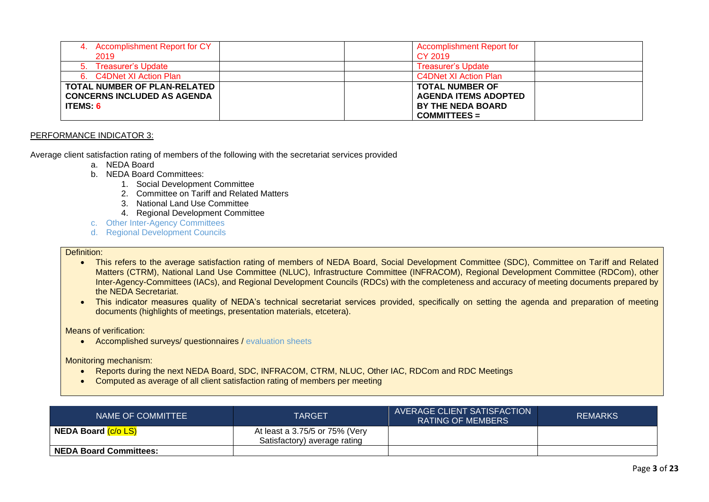| <b>Accomplishment Report for CY</b><br>4.<br>2019 | <b>Accomplishment Report for</b><br>CY 2019 |  |
|---------------------------------------------------|---------------------------------------------|--|
|                                                   |                                             |  |
| 5. Treasurer's Update                             | Treasurer's Update                          |  |
| 6. C4DNet XI Action Plan                          | C4DNet XI Action Plan                       |  |
| <b>TOTAL NUMBER OF PLAN-RELATED</b>               | <b>TOTAL NUMBER OF</b>                      |  |
| <b>CONCERNS INCLUDED AS AGENDA</b>                | <b>AGENDA ITEMS ADOPTED</b>                 |  |
| <b>ITEMS: 6</b>                                   | <b>BY THE NEDA BOARD</b>                    |  |
|                                                   | $COMMITTEES =$                              |  |

Average client satisfaction rating of members of the following with the secretariat services provided

- a. NEDA Board
- b. NEDA Board Committees:
	- 1. Social Development Committee
	- 2. Committee on Tariff and Related Matters
	- 3. National Land Use Committee
	- 4. Regional Development Committee
- c. Other Inter-Agency Committees
- d. Regional Development Councils

#### Definition:

- This refers to the average satisfaction rating of members of NEDA Board, Social Development Committee (SDC), Committee on Tariff and Related Matters (CTRM), National Land Use Committee (NLUC), Infrastructure Committee (INFRACOM), Regional Development Committee (RDCom), other Inter-Agency-Committees (IACs), and Regional Development Councils (RDCs) with the completeness and accuracy of meeting documents prepared by the NEDA Secretariat.
- This indicator measures quality of NEDA's technical secretariat services provided, specifically on setting the agenda and preparation of meeting documents (highlights of meetings, presentation materials, etcetera).

Means of verification:

• Accomplished surveys/ questionnaires / evaluation sheets

Monitoring mechanism:

- Reports during the next NEDA Board, SDC, INFRACOM, CTRM, NLUC, Other IAC, RDCom and RDC Meetings
- Computed as average of all client satisfaction rating of members per meeting

| NAME OF COMMITTEE                | <b>TARGET</b>                  | AVERAGE CLIENT SATISFACTION<br><b>RATING OF MEMBERS</b> | <b>REMARKS</b> |
|----------------------------------|--------------------------------|---------------------------------------------------------|----------------|
| NEDA Board <mark>(c/o LS)</mark> | At least a 3.75/5 or 75% (Very |                                                         |                |
|                                  | Satisfactory) average rating   |                                                         |                |
| <b>NEDA Board Committees:</b>    |                                |                                                         |                |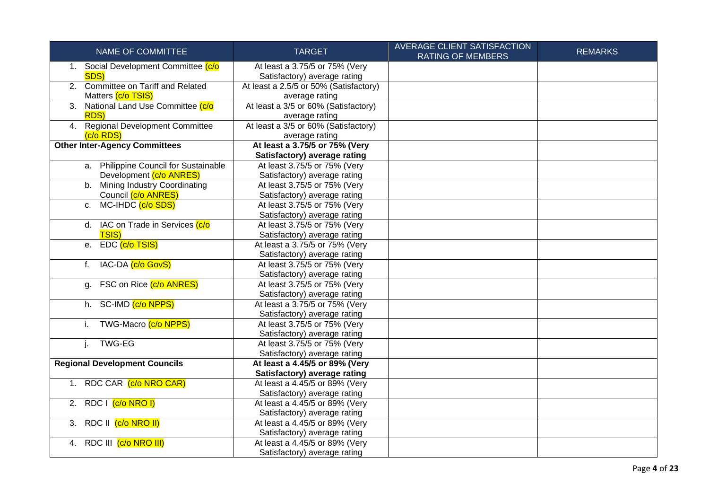| NAME OF COMMITTEE                                | <b>TARGET</b>                          | AVERAGE CLIENT SATISFACTION<br><b>RATING OF MEMBERS</b> | <b>REMARKS</b> |
|--------------------------------------------------|----------------------------------------|---------------------------------------------------------|----------------|
| Social Development Committee (c/o<br>$1_{\cdot}$ | At least a 3.75/5 or 75% (Very         |                                                         |                |
| SDS)                                             | Satisfactory) average rating           |                                                         |                |
| Committee on Tariff and Related<br>2.            | At least a 2.5/5 or 50% (Satisfactory) |                                                         |                |
| Matters (c/o TSIS)                               | average rating                         |                                                         |                |
| National Land Use Committee (c/o<br>3.           | At least a 3/5 or 60% (Satisfactory)   |                                                         |                |
| <b>RDS</b>                                       | average rating                         |                                                         |                |
| <b>Regional Development Committee</b><br>4.      | At least a 3/5 or 60% (Satisfactory)   |                                                         |                |
| (c/o RDS)                                        | average rating                         |                                                         |                |
| <b>Other Inter-Agency Committees</b>             | At least a 3.75/5 or 75% (Very         |                                                         |                |
|                                                  | Satisfactory) average rating           |                                                         |                |
| a. Philippine Council for Sustainable            | At least 3.75/5 or 75% (Very           |                                                         |                |
| Development (c/o ANRES)                          | Satisfactory) average rating           |                                                         |                |
| b. Mining Industry Coordinating                  | At least 3.75/5 or 75% (Very           |                                                         |                |
| Council (c/o ANRES)                              | Satisfactory) average rating           |                                                         |                |
| c. MC-IHDC (c/o SDS)                             | At least 3.75/5 or 75% (Very           |                                                         |                |
|                                                  | Satisfactory) average rating           |                                                         |                |
| d. IAC on Trade in Services (c/o                 | At least 3.75/5 or 75% (Very           |                                                         |                |
| <b>TSIS)</b>                                     | Satisfactory) average rating           |                                                         |                |
| e. EDC (c/o TSIS)                                | At least a 3.75/5 or 75% (Very         |                                                         |                |
|                                                  | Satisfactory) average rating           |                                                         |                |
| IAC-DA (c/o GovS)<br>$f_{\rm{r}}$                | At least 3.75/5 or 75% (Very           |                                                         |                |
|                                                  | Satisfactory) average rating           |                                                         |                |
| g. FSC on Rice (c/o ANRES)                       | At least 3.75/5 or 75% (Very           |                                                         |                |
|                                                  | Satisfactory) average rating           |                                                         |                |
| h. SC-IMD (c/o NPPS)                             | At least a 3.75/5 or 75% (Very         |                                                         |                |
|                                                  | Satisfactory) average rating           |                                                         |                |
| TWG-Macro (c/o NPPS)<br>j.                       | At least 3.75/5 or 75% (Very           |                                                         |                |
|                                                  | Satisfactory) average rating           |                                                         |                |
| <b>TWG-EG</b><br>j.                              | At least 3.75/5 or 75% (Very           |                                                         |                |
|                                                  | Satisfactory) average rating           |                                                         |                |
| <b>Regional Development Councils</b>             | At least a 4.45/5 or 89% (Very         |                                                         |                |
|                                                  | Satisfactory) average rating           |                                                         |                |
| 1. RDC CAR (c/o NRO CAR)                         | At least a 4.45/5 or 89% (Very         |                                                         |                |
|                                                  | Satisfactory) average rating           |                                                         |                |
| 2. RDC $(c/o NRO I)$                             | At least a 4.45/5 or 89% (Very         |                                                         |                |
|                                                  | Satisfactory) average rating           |                                                         |                |
| RDC II (C/o NRO II)<br>3.                        | At least a 4.45/5 or 89% (Very         |                                                         |                |
|                                                  | Satisfactory) average rating           |                                                         |                |
| 4. RDC III (c/o NRO III)                         | At least a 4.45/5 or 89% (Very         |                                                         |                |
|                                                  | Satisfactory) average rating           |                                                         |                |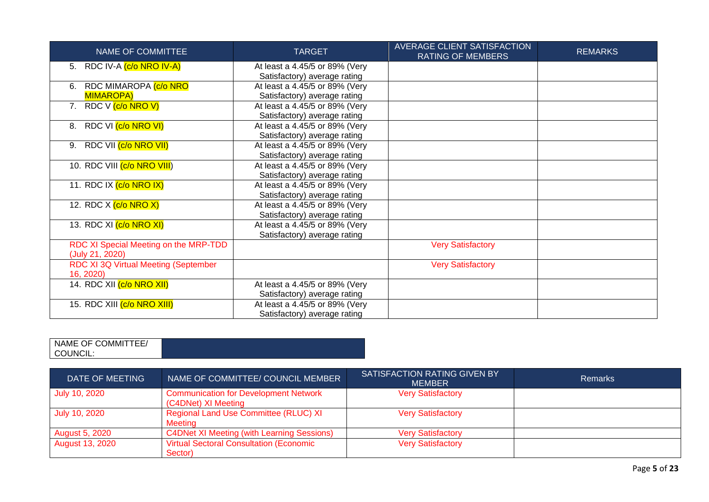| NAME OF COMMITTEE                                        | <b>TARGET</b>                  | <b>AVERAGE CLIENT SATISFACTION</b><br><b>RATING OF MEMBERS</b> | <b>REMARKS</b> |
|----------------------------------------------------------|--------------------------------|----------------------------------------------------------------|----------------|
| 5. RDC IV-A (c/o NRO IV-A)                               | At least a 4.45/5 or 89% (Very |                                                                |                |
|                                                          | Satisfactory) average rating   |                                                                |                |
| RDC MIMAROPA (C/O NRO<br>6.                              | At least a 4.45/5 or 89% (Very |                                                                |                |
| <b>MIMAROPA)</b>                                         | Satisfactory) average rating   |                                                                |                |
| 7. RDC V (c/o NRO V)                                     | At least a 4.45/5 or 89% (Very |                                                                |                |
|                                                          | Satisfactory) average rating   |                                                                |                |
| RDC VI (c/o NRO VI)<br>8.                                | At least a 4.45/5 or 89% (Very |                                                                |                |
|                                                          | Satisfactory) average rating   |                                                                |                |
| RDC VII (c/o NRO VII)<br>9.                              | At least a 4.45/5 or 89% (Very |                                                                |                |
|                                                          | Satisfactory) average rating   |                                                                |                |
| 10. RDC VIII (c/o NRO VIII)                              | At least a 4.45/5 or 89% (Very |                                                                |                |
|                                                          | Satisfactory) average rating   |                                                                |                |
| 11. RDC IX (c/o NRO IX)                                  | At least a 4.45/5 or 89% (Very |                                                                |                |
|                                                          | Satisfactory) average rating   |                                                                |                |
| 12. RDC X (c/o NRO X)                                    | At least a 4.45/5 or 89% (Very |                                                                |                |
|                                                          | Satisfactory) average rating   |                                                                |                |
| 13. RDC XI (c/o NRO XI)                                  | At least a 4.45/5 or 89% (Very |                                                                |                |
|                                                          | Satisfactory) average rating   |                                                                |                |
| RDC XI Special Meeting on the MRP-TDD<br>(July 21, 2020) |                                | <b>Very Satisfactory</b>                                       |                |
| RDC XI 3Q Virtual Meeting (September                     |                                | <b>Very Satisfactory</b>                                       |                |
| 16, 2020)                                                |                                |                                                                |                |
| 14. RDC XII (c/o NRO XII)                                | At least a 4.45/5 or 89% (Very |                                                                |                |
|                                                          | Satisfactory) average rating   |                                                                |                |
| 15. RDC XIII (c/o NRO XIII)                              | At least a 4.45/5 or 89% (Very |                                                                |                |
|                                                          | Satisfactory) average rating   |                                                                |                |

#### NAME OF COMMITTEE/ COUNCIL:

| DATE OF MEETING | NAME OF COMMITTEE/ COUNCIL MEMBER                                   | SATISFACTION RATING GIVEN BY<br><b>MEMBER</b> | <b>Remarks</b> |
|-----------------|---------------------------------------------------------------------|-----------------------------------------------|----------------|
| July 10, 2020   | <b>Communication for Development Network</b><br>(C4DNet) XI Meeting | <b>Very Satisfactory</b>                      |                |
| July 10, 2020   | Regional Land Use Committee (RLUC) XI<br><b>Meeting</b>             | <b>Very Satisfactory</b>                      |                |
| August 5, 2020  | <b>C4DNet XI Meeting (with Learning Sessions)</b>                   | <b>Very Satisfactory</b>                      |                |
| August 13, 2020 | <b>Virtual Sectoral Consultation (Economic</b><br>Sector)           | <b>Very Satisfactory</b>                      |                |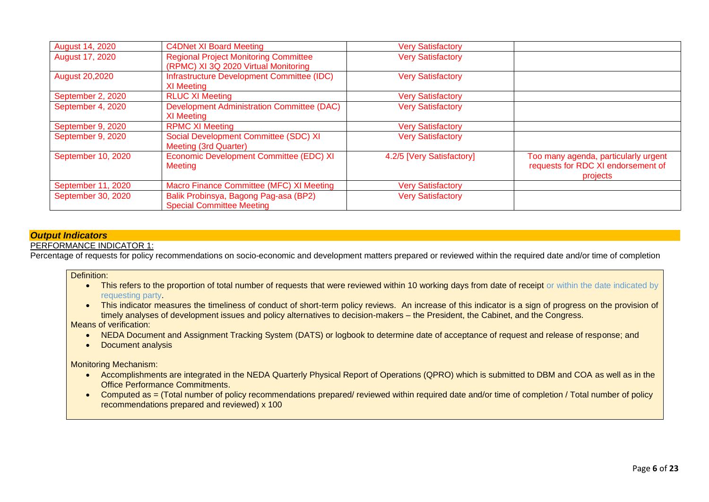| <b>August 14, 2020</b> | <b>C4DNet XI Board Meeting</b>                                                       | <b>Very Satisfactory</b>  |                                                                                        |
|------------------------|--------------------------------------------------------------------------------------|---------------------------|----------------------------------------------------------------------------------------|
| August 17, 2020        | <b>Regional Project Monitoring Committee</b><br>(RPMC) XI 3Q 2020 Virtual Monitoring | <b>Very Satisfactory</b>  |                                                                                        |
| <b>August 20,2020</b>  | Infrastructure Development Committee (IDC)<br><b>XI Meeting</b>                      | <b>Very Satisfactory</b>  |                                                                                        |
| September 2, 2020      | <b>RLUC XI Meeting</b>                                                               | <b>Very Satisfactory</b>  |                                                                                        |
| September 4, 2020      | <b>Development Administration Committee (DAC)</b><br><b>XI Meeting</b>               | <b>Very Satisfactory</b>  |                                                                                        |
| September 9, 2020      | <b>RPMC XI Meeting</b>                                                               | <b>Very Satisfactory</b>  |                                                                                        |
| September 9, 2020      | Social Development Committee (SDC) XI<br><b>Meeting (3rd Quarter)</b>                | <b>Very Satisfactory</b>  |                                                                                        |
| September 10, 2020     | Economic Development Committee (EDC) XI<br>Meeting                                   | 4.2/5 [Very Satisfactory] | Too many agenda, particularly urgent<br>requests for RDC XI endorsement of<br>projects |
| September 11, 2020     | Macro Finance Committee (MFC) XI Meeting                                             | <b>Very Satisfactory</b>  |                                                                                        |
| September 30, 2020     | Balik Probinsya, Bagong Pag-asa (BP2)<br><b>Special Committee Meeting</b>            | <b>Very Satisfactory</b>  |                                                                                        |

### *Output Indicators*

### PERFORMANCE INDICATOR 1:

Percentage of requests for policy recommendations on socio-economic and development matters prepared or reviewed within the required date and/or time of completion

### Definition:

- This refers to the proportion of total number of requests that were reviewed within 10 working days from date of receipt or within the date indicated by requesting party.
- This indicator measures the timeliness of conduct of short-term policy reviews. An increase of this indicator is a sign of progress on the provision of timely analyses of development issues and policy alternatives to decision-makers – the President, the Cabinet, and the Congress.

### Means of verification:

- NEDA Document and Assignment Tracking System (DATS) or logbook to determine date of acceptance of request and release of response; and
- Document analysis

### Monitoring Mechanism:

- Accomplishments are integrated in the NEDA Quarterly Physical Report of Operations (QPRO) which is submitted to DBM and COA as well as in the Office Performance Commitments.
- Computed as = (Total number of policy recommendations prepared/ reviewed within required date and/or time of completion / Total number of policy recommendations prepared and reviewed) x 100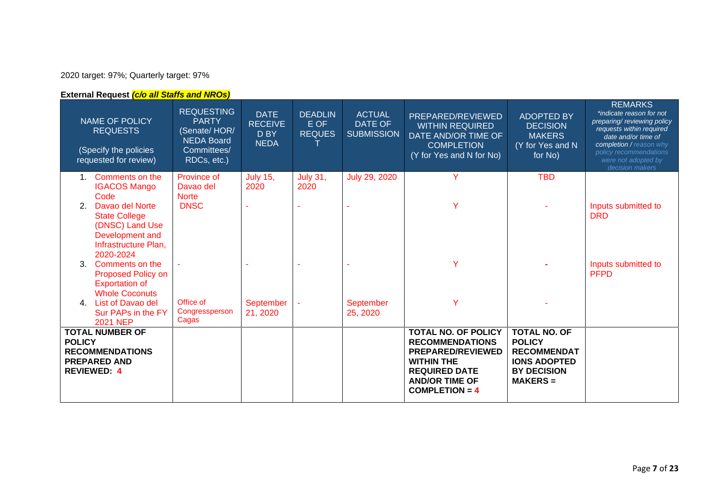2020 target: 97%; Quarterly target: 97%

**External Request** *(c/o all Staffs and NROs)*

| <b>NAME OF POLICY</b><br><b>REQUESTS</b><br>(Specify the policies<br>requested for review)                         | <b>REQUESTING</b><br><b>PARTY</b><br>(Senate/HOR/<br><b>NEDA Board</b><br>Committees/<br>RDCs, etc.) | <b>DATE</b><br><b>DEADLIN</b><br><b>ACTUAL</b><br><b>RECEIVE</b><br><b>DATE OF</b><br>E OF<br>D BY<br><b>REQUES</b><br><b>SUBMISSION</b><br><b>NEDA</b> |                         | PREPARED/REVIEWED<br><b>WITHIN REQUIRED</b><br>DATE AND/OR TIME OF<br><b>COMPLETION</b><br>(Y for Yes and N for No) | <b>ADOPTED BY</b><br><b>DECISION</b><br><b>MAKERS</b><br>(Y for Yes and N<br>for No)                                                                                       | <b>REMARKS</b><br>*indicate reason for not<br>preparing/reviewing policy<br>requests within required<br>date and/or time of<br>completion / reason why<br>policy recommendations<br>were not adopted by<br>decision makers |                                    |
|--------------------------------------------------------------------------------------------------------------------|------------------------------------------------------------------------------------------------------|---------------------------------------------------------------------------------------------------------------------------------------------------------|-------------------------|---------------------------------------------------------------------------------------------------------------------|----------------------------------------------------------------------------------------------------------------------------------------------------------------------------|----------------------------------------------------------------------------------------------------------------------------------------------------------------------------------------------------------------------------|------------------------------------|
| 1. Comments on the<br><b>IGACOS Mango</b><br>Code                                                                  | Province of<br>Davao del<br><b>Norte</b>                                                             | <b>July 15,</b><br>2020                                                                                                                                 | <b>July 31,</b><br>2020 | July 29, 2020                                                                                                       | Y                                                                                                                                                                          | <b>TBD</b>                                                                                                                                                                                                                 |                                    |
| Davao del Norte<br><b>State College</b><br>(DNSC) Land Use<br>Development and<br>Infrastructure Plan,<br>2020-2024 | <b>DNSC</b>                                                                                          |                                                                                                                                                         |                         |                                                                                                                     | Ÿ                                                                                                                                                                          |                                                                                                                                                                                                                            | Inputs submitted to<br><b>DRD</b>  |
| Comments on the<br>$\mathbf{3}$ .<br>Proposed Policy on<br><b>Exportation of</b><br><b>Whole Coconuts</b>          |                                                                                                      |                                                                                                                                                         |                         |                                                                                                                     | Ÿ                                                                                                                                                                          |                                                                                                                                                                                                                            | Inputs submitted to<br><b>PFPD</b> |
| <b>List of Davao del</b><br>$\overline{4}$<br>Sur PAPs in the FY<br><b>2021 NEP</b>                                | Office of<br>Congressperson<br>Cagas                                                                 | September<br>21, 2020                                                                                                                                   |                         | September<br>25, 2020                                                                                               | Y                                                                                                                                                                          |                                                                                                                                                                                                                            |                                    |
| <b>TOTAL NUMBER OF</b><br><b>POLICY</b><br><b>RECOMMENDATIONS</b><br><b>PREPARED AND</b><br><b>REVIEWED: 4</b>     |                                                                                                      |                                                                                                                                                         |                         |                                                                                                                     | <b>TOTAL NO. OF POLICY</b><br><b>RECOMMENDATIONS</b><br><b>PREPARED/REVIEWED</b><br><b>WITHIN THE</b><br><b>REQUIRED DATE</b><br><b>AND/OR TIME OF</b><br>COMPLETION = $4$ | <b>TOTAL NO. OF</b><br><b>POLICY</b><br><b>RECOMMENDAT</b><br><b>IONS ADOPTED</b><br><b>BY DECISION</b><br>$MAKERS =$                                                                                                      |                                    |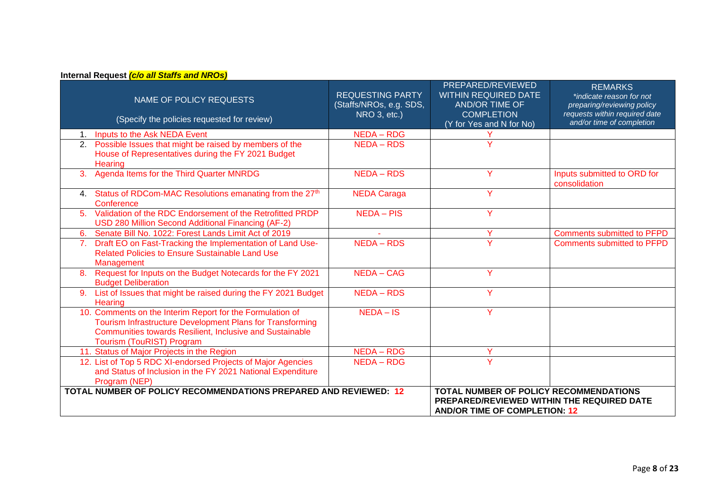| Internal Request (c/o all Staffs and NROs)                                                                                                                                                                             |                                                                    |                                                                                                                              |                                                                                                                                        |
|------------------------------------------------------------------------------------------------------------------------------------------------------------------------------------------------------------------------|--------------------------------------------------------------------|------------------------------------------------------------------------------------------------------------------------------|----------------------------------------------------------------------------------------------------------------------------------------|
| <b>NAME OF POLICY REQUESTS</b><br>(Specify the policies requested for review)                                                                                                                                          | <b>REQUESTING PARTY</b><br>(Staffs/NROs, e.g. SDS,<br>NRO 3, etc.) | PREPARED/REVIEWED<br><b>WITHIN REQUIRED DATE</b><br><b>AND/OR TIME OF</b><br><b>COMPLETION</b><br>(Y for Yes and N for No)   | <b>REMARKS</b><br>*indicate reason for not<br>preparing/reviewing policy<br>requests within required date<br>and/or time of completion |
| 1. Inputs to the Ask NEDA Event                                                                                                                                                                                        | <b>NEDA - RDG</b>                                                  |                                                                                                                              |                                                                                                                                        |
| 2. Possible Issues that might be raised by members of the<br>House of Representatives during the FY 2021 Budget<br>Hearing                                                                                             | <b>NEDA - RDS</b>                                                  | Ÿ                                                                                                                            |                                                                                                                                        |
| 3. Agenda Items for the Third Quarter MNRDG                                                                                                                                                                            | <b>NEDA - RDS</b>                                                  | Ÿ                                                                                                                            | Inputs submitted to ORD for<br>consolidation                                                                                           |
| 4. Status of RDCom-MAC Resolutions emanating from the 27 <sup>th</sup><br>Conference                                                                                                                                   | <b>NEDA Caraga</b>                                                 | Ÿ                                                                                                                            |                                                                                                                                        |
| 5. Validation of the RDC Endorsement of the Retrofitted PRDP<br>USD 280 Million Second Additional Financing (AF-2)                                                                                                     | <b>NEDA - PIS</b>                                                  | Ÿ                                                                                                                            |                                                                                                                                        |
| 6. Senate Bill No. 1022: Forest Lands Limit Act of 2019                                                                                                                                                                |                                                                    | Y                                                                                                                            | <b>Comments submitted to PFPD</b>                                                                                                      |
| 7. Draft EO on Fast-Tracking the Implementation of Land Use-<br><b>Related Policies to Ensure Sustainable Land Use</b><br>Management                                                                                   | <b>NEDA - RDS</b>                                                  | Ÿ                                                                                                                            | <b>Comments submitted to PFPD</b>                                                                                                      |
| 8. Request for Inputs on the Budget Notecards for the FY 2021<br><b>Budget Deliberation</b>                                                                                                                            | <b>NEDA - CAG</b>                                                  | Y                                                                                                                            |                                                                                                                                        |
| 9. List of Issues that might be raised during the FY 2021 Budget<br>Hearing                                                                                                                                            | <b>NEDA - RDS</b>                                                  | Y                                                                                                                            |                                                                                                                                        |
| 10. Comments on the Interim Report for the Formulation of<br>Tourism Infrastructure Development Plans for Transforming<br><b>Communities towards Resilient, Inclusive and Sustainable</b><br>Tourism (TouRIST) Program | $NEDA - IS$                                                        | Y                                                                                                                            |                                                                                                                                        |
| 11. Status of Major Projects in the Region                                                                                                                                                                             | <b>NEDA - RDG</b>                                                  | Y                                                                                                                            |                                                                                                                                        |
| 12. List of Top 5 RDC XI-endorsed Projects of Major Agencies<br>and Status of Inclusion in the FY 2021 National Expenditure<br>Program (NEP)                                                                           | <b>NEDA - RDG</b>                                                  | Ÿ                                                                                                                            |                                                                                                                                        |
| TOTAL NUMBER OF POLICY RECOMMENDATIONS PREPARED AND REVIEWED: 12                                                                                                                                                       |                                                                    | TOTAL NUMBER OF POLICY RECOMMENDATIONS<br>PREPARED/REVIEWED WITHIN THE REQUIRED DATE<br><b>AND/OR TIME OF COMPLETION: 12</b> |                                                                                                                                        |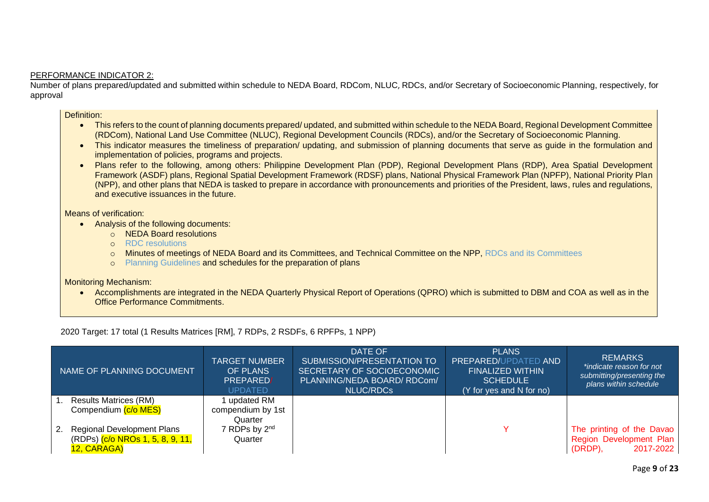Number of plans prepared/updated and submitted within schedule to NEDA Board, RDCom, NLUC, RDCs, and/or Secretary of Socioeconomic Planning, respectively, for approval

#### Definition:

- This refers to the count of planning documents prepared/ updated, and submitted within schedule to the NEDA Board, Regional Development Committee (RDCom), National Land Use Committee (NLUC), Regional Development Councils (RDCs), and/or the Secretary of Socioeconomic Planning.
- This indicator measures the timeliness of preparation/ updating, and submission of planning documents that serve as guide in the formulation and implementation of policies, programs and projects.
- Plans refer to the following, among others: Philippine Development Plan (PDP), Regional Development Plans (RDP), Area Spatial Development Framework (ASDF) plans, Regional Spatial Development Framework (RDSF) plans, National Physical Framework Plan (NPFP), National Priority Plan (NPP), and other plans that NEDA is tasked to prepare in accordance with pronouncements and priorities of the President, laws, rules and regulations, and executive issuances in the future.

Means of verification:

- Analysis of the following documents:
	- o NEDA Board resolutions
	- o RDC resolutions
	- o Minutes of meetings of NEDA Board and its Committees, and Technical Committee on the NPP, RDCs and its Committees
	- o Planning Guidelines and schedules for the preparation of plans

Monitoring Mechanism:

• Accomplishments are integrated in the NEDA Quarterly Physical Report of Operations (QPRO) which is submitted to DBM and COA as well as in the Office Performance Commitments.

2020 Target: 17 total (1 Results Matrices [RM], 7 RDPs, 2 RSDFs, 6 RPFPs, 1 NPP)

| NAME OF PLANNING DOCUMENT |                                                                                  | TARGET NUMBER<br><b>OF PLANS</b><br>PREPARED/<br><b>UPDATED</b> | DATE OF<br>SUBMISSION/PRESENTATION TO<br>SECRETARY OF SOCIOECONOMIC<br>PLANNING/NEDA BOARD/RDCom/<br>NLUC/RDCs | <b>PLANS</b><br><b>PREPARED/UPDATED AND</b><br><b>FINALIZED WITHIN</b><br>SCHEDULE <sup>1</sup><br>(Y for yes and N for no) | <b>REMARKS</b><br>*indicate reason for not<br>submitting/presenting the<br>plans within schedule |
|---------------------------|----------------------------------------------------------------------------------|-----------------------------------------------------------------|----------------------------------------------------------------------------------------------------------------|-----------------------------------------------------------------------------------------------------------------------------|--------------------------------------------------------------------------------------------------|
|                           | <b>Results Matrices (RM)</b><br>Compendium (c/o MES)                             | updated RM<br>compendium by 1st                                 |                                                                                                                |                                                                                                                             |                                                                                                  |
|                           | 2. Regional Development Plans<br>(RDPs) (c/o NROs 1, 5, 8, 9, 11,<br>12, CARAGA) | Quarter<br>7 RDPs by 2 <sup>nd</sup><br>Quarter                 |                                                                                                                | v                                                                                                                           | The printing of the Davao<br>Region Development Plan<br>2017-2022<br>(DRDP),                     |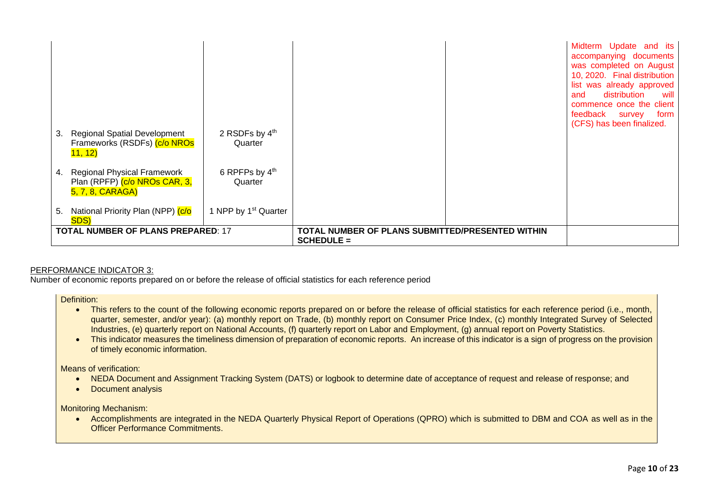| 2 RSDFs by 4th<br><b>Regional Spatial Development</b><br>3.<br>Frameworks (RSDFs) (c/o NROs<br>Quarter<br>11, 12)<br>6 RPFPs by 4th<br><b>Regional Physical Framework</b><br>4.<br>Plan (RPFP) (c/o NROs CAR, 3,<br>Quarter<br>5, 7, 8, CARAGA)<br>National Priority Plan (NPP) (c/o<br>NPP by 1 <sup>st</sup> Quarter<br>5.<br>SDS) |                                                                  | accompanying documents<br>was completed on August<br>10, 2020. Final distribution<br>list was already approved<br>distribution<br>and<br>will<br>commence once the client<br>feedback<br>form<br>survey<br>(CFS) has been finalized. |
|--------------------------------------------------------------------------------------------------------------------------------------------------------------------------------------------------------------------------------------------------------------------------------------------------------------------------------------|------------------------------------------------------------------|--------------------------------------------------------------------------------------------------------------------------------------------------------------------------------------------------------------------------------------|
| <b>TOTAL NUMBER OF PLANS PREPARED: 17</b>                                                                                                                                                                                                                                                                                            | TOTAL NUMBER OF PLANS SUBMITTED/PRESENTED WITHIN<br>$SCHEDULE =$ |                                                                                                                                                                                                                                      |

Number of economic reports prepared on or before the release of official statistics for each reference period

Definition:

- This refers to the count of the following economic reports prepared on or before the release of official statistics for each reference period (i.e., month, quarter, semester, and/or year): (a) monthly report on Trade, (b) monthly report on Consumer Price Index, (c) monthly Integrated Survey of Selected Industries, (e) quarterly report on National Accounts, (f) quarterly report on Labor and Employment, (g) annual report on Poverty Statistics.
- This indicator measures the timeliness dimension of preparation of economic reports. An increase of this indicator is a sign of progress on the provision of timely economic information.

Means of verification:

- NEDA Document and Assignment Tracking System (DATS) or logbook to determine date of acceptance of request and release of response; and
- Document analysis

Monitoring Mechanism:

• Accomplishments are integrated in the NEDA Quarterly Physical Report of Operations (QPRO) which is submitted to DBM and COA as well as in the Officer Performance Commitments.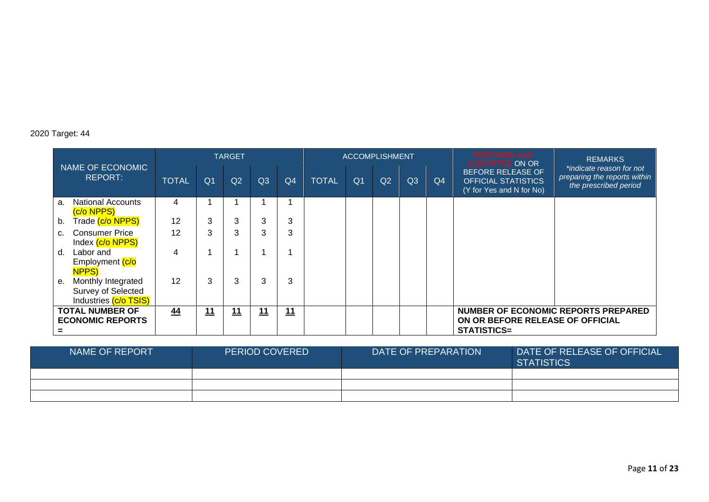# 2020 Target: 44

|                                                                         | <b>TARGET</b> |                |    |                | <b>ACCOMPLISHMENT</b> |              |                |    | <b>PREPARED AND</b><br>SUBMITTED ON OR | <b>REMARKS</b> |                                                                                                      |                                                                                   |
|-------------------------------------------------------------------------|---------------|----------------|----|----------------|-----------------------|--------------|----------------|----|----------------------------------------|----------------|------------------------------------------------------------------------------------------------------|-----------------------------------------------------------------------------------|
| NAME OF ECONOMIC<br><b>REPORT:</b>                                      | <b>TOTAL</b>  | Q <sub>1</sub> | Q2 | Q <sub>3</sub> | Q <sub>4</sub>        | <b>TOTAL</b> | Q <sub>1</sub> | Q2 | Q3                                     | Q <sub>4</sub> | <b>BEFORE RELEASE OF</b><br><b>OFFICIAL STATISTICS</b><br>(Y for Yes and N for No)                   | *indicate reason for not<br>preparing the reports within<br>the prescribed period |
| <b>National Accounts</b><br>a.<br>(c/o NPPS)                            | 4             |                |    |                |                       |              |                |    |                                        |                |                                                                                                      |                                                                                   |
| Trade (c/o NPPS)<br>b.                                                  | 12            | 3              |    | 3              | 3                     |              |                |    |                                        |                |                                                                                                      |                                                                                   |
| <b>Consumer Price</b><br>C.<br>Index (c/o NPPS)                         | 12            | 3              | 3  | 3              | 3                     |              |                |    |                                        |                |                                                                                                      |                                                                                   |
| Labor and<br>d.<br>Employment (c/o<br><b>NPPS)</b>                      | 4             |                |    |                |                       |              |                |    |                                        |                |                                                                                                      |                                                                                   |
| Monthly Integrated<br>е.<br>Survey of Selected<br>Industries (c/o TSIS) | 12            | 3              |    | 3              | 3                     |              |                |    |                                        |                |                                                                                                      |                                                                                   |
| <b>TOTAL NUMBER OF</b><br><b>ECONOMIC REPORTS</b><br>$=$                | 44            | 11             | 11 | <u>11</u>      | 11                    |              |                |    |                                        |                | <b>NUMBER OF ECONOMIC REPORTS PREPARED</b><br>ON OR BEFORE RELEASE OF OFFICIAL<br><b>STATISTICS=</b> |                                                                                   |

| NAME OF REPORT | <b>PERIOD COVERED</b> | DATE OF PREPARATION | DATE OF RELEASE OF OFFICIAL<br><b>STATISTICS</b> |
|----------------|-----------------------|---------------------|--------------------------------------------------|
|                |                       |                     |                                                  |
|                |                       |                     |                                                  |
|                |                       |                     |                                                  |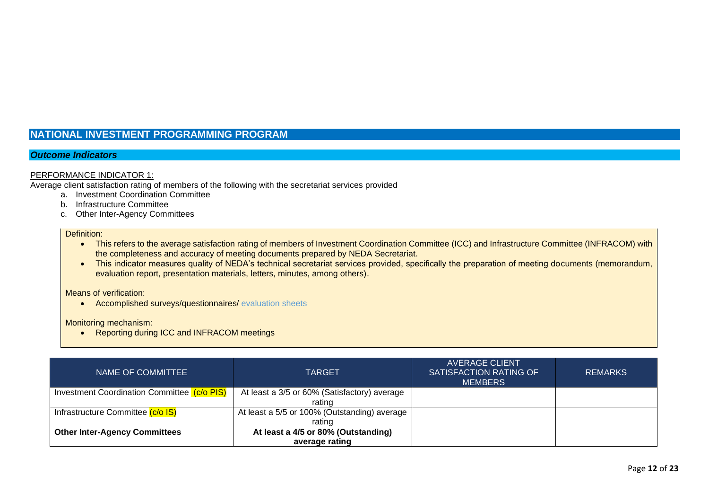# **NATIONAL INVESTMENT PROGRAMMING PROGRAM**

### *Outcome Indicators*

### PERFORMANCE INDICATOR 1:

Average client satisfaction rating of members of the following with the secretariat services provided

- a. Investment Coordination Committee
- b. Infrastructure Committee
- c. Other Inter-Agency Committees

#### Definition:

- This refers to the average satisfaction rating of members of Investment Coordination Committee (ICC) and Infrastructure Committee (INFRACOM) with the completeness and accuracy of meeting documents prepared by NEDA Secretariat.
- This indicator measures quality of NEDA's technical secretariat services provided, specifically the preparation of meeting documents (memorandum, evaluation report, presentation materials, letters, minutes, among others).

#### Means of verification:

• Accomplished surveys/questionnaires/ evaluation sheets

#### Monitoring mechanism:

• Reporting during ICC and INFRACOM meetings

| NAME OF COMMITTEE                           | <b>TARGET</b>                                | <b>AVERAGE CLIENT</b><br>SATISFACTION RATING OF<br><b>MEMBERS</b> | <b>REMARKS</b> |
|---------------------------------------------|----------------------------------------------|-------------------------------------------------------------------|----------------|
| Investment Coordination Committee (C/o PIS) | At least a 3/5 or 60% (Satisfactory) average |                                                                   |                |
|                                             | rating                                       |                                                                   |                |
| Infrastructure Committee (c/o IS)           | At least a 5/5 or 100% (Outstanding) average |                                                                   |                |
|                                             | rating                                       |                                                                   |                |
| <b>Other Inter-Agency Committees</b>        | At least a 4/5 or 80% (Outstanding)          |                                                                   |                |
|                                             | average rating                               |                                                                   |                |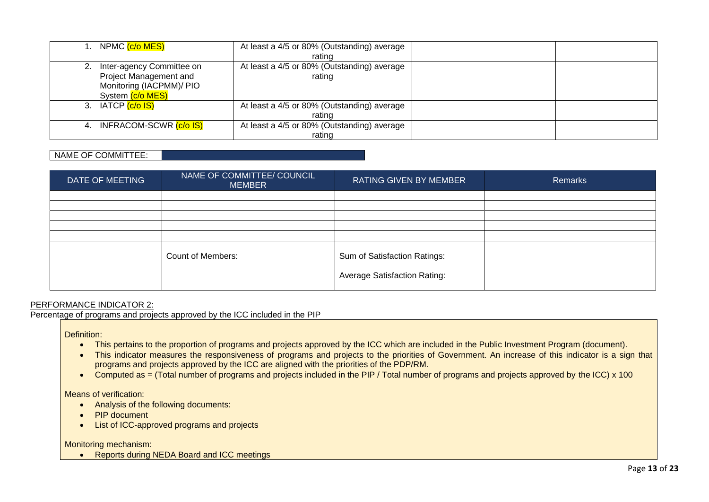|    | NPMC (c/o MES)                 | At least a 4/5 or 80% (Outstanding) average |  |
|----|--------------------------------|---------------------------------------------|--|
|    |                                | rating                                      |  |
|    | Inter-agency Committee on      | At least a 4/5 or 80% (Outstanding) average |  |
|    | Project Management and         | rating                                      |  |
|    | Monitoring (IACPMM)/ PIO       |                                             |  |
|    | System (c/o MES)               |                                             |  |
|    | 3. IATCP <mark>(c/o IS)</mark> | At least a 4/5 or 80% (Outstanding) average |  |
|    |                                | rating                                      |  |
| 4. | INFRACOM-SCWR (C/o IS)         | At least a 4/5 or 80% (Outstanding) average |  |
|    |                                | rating                                      |  |

### NAME OF COMMITTEE:

| DATE OF MEETING | NAME OF COMMITTEE/ COUNCIL<br><b>MEMBER</b> | <b>RATING GIVEN BY MEMBER</b>       | Remarks |
|-----------------|---------------------------------------------|-------------------------------------|---------|
|                 |                                             |                                     |         |
|                 |                                             |                                     |         |
|                 |                                             |                                     |         |
|                 |                                             |                                     |         |
|                 |                                             |                                     |         |
|                 |                                             |                                     |         |
|                 | <b>Count of Members:</b>                    | Sum of Satisfaction Ratings:        |         |
|                 |                                             | <b>Average Satisfaction Rating:</b> |         |

### PERFORMANCE INDICATOR 2:

Percentage of programs and projects approved by the ICC included in the PIP

Definition:

- This pertains to the proportion of programs and projects approved by the ICC which are included in the Public Investment Program (document).
- This indicator measures the responsiveness of programs and projects to the priorities of Government. An increase of this indicator is a sign that programs and projects approved by the ICC are aligned with the priorities of the PDP/RM.
- Computed as = (Total number of programs and projects included in the PIP / Total number of programs and projects approved by the ICC) x 100

Means of verification:

- Analysis of the following documents:
- PIP document
- List of ICC-approved programs and projects

Monitoring mechanism:

• Reports during NEDA Board and ICC meetings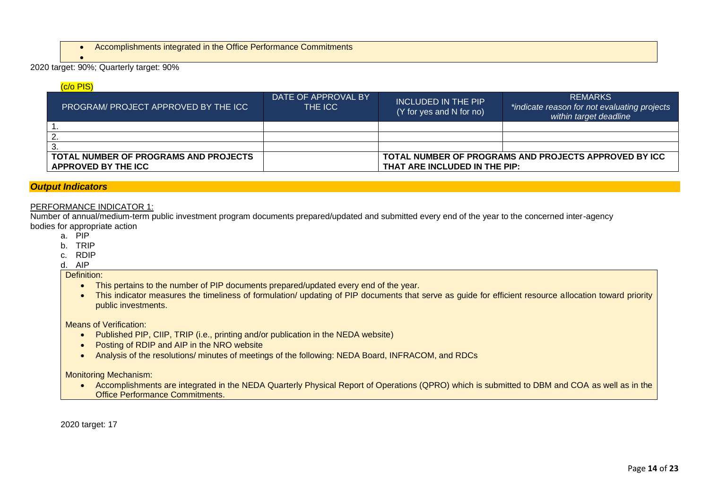• Accomplishments integrated in the Office Performance Commitments

### 2020 target: 90%; Quarterly target: 90%

#### (c/o PIS)

•

| PROGRAM/ PROJECT APPROVED BY THE ICC  | DATE OF APPROVAL BY<br>THE ICC | INCLUDED IN THE PIP<br>(Y for yes and N for no) | <b>REMARKS</b><br>*indicate reason for not evaluating projects<br>within target deadline |  |
|---------------------------------------|--------------------------------|-------------------------------------------------|------------------------------------------------------------------------------------------|--|
|                                       |                                |                                                 |                                                                                          |  |
|                                       |                                |                                                 |                                                                                          |  |
|                                       |                                |                                                 |                                                                                          |  |
| TOTAL NUMBER OF PROGRAMS AND PROJECTS |                                |                                                 | TOTAL NUMBER OF PROGRAMS AND PROJECTS APPROVED BY ICC                                    |  |
| APPROVED BY THE ICC                   |                                | THAT ARE INCLUDED IN THE PIP:                   |                                                                                          |  |

#### *Output Indicators*

### PERFORMANCE INDICATOR 1:

Number of annual/medium-term public investment program documents prepared/updated and submitted every end of the year to the concerned inter-agency bodies for appropriate action

- a. PIP
- b. TRIP
- c. RDIP
- d. AIP

#### Definition:

- This pertains to the number of PIP documents prepared/updated every end of the year.
- This indicator measures the timeliness of formulation/ updating of PIP documents that serve as quide for efficient resource allocation toward priority public investments.

Means of Verification:

- Published PIP, CIIP, TRIP (i.e., printing and/or publication in the NEDA website)
- Posting of RDIP and AIP in the NRO website
- Analysis of the resolutions/ minutes of meetings of the following: NEDA Board, INFRACOM, and RDCs

### Monitoring Mechanism:

• Accomplishments are integrated in the NEDA Quarterly Physical Report of Operations (QPRO) which is submitted to DBM and COA as well as in the Office Performance Commitments.

2020 target: 17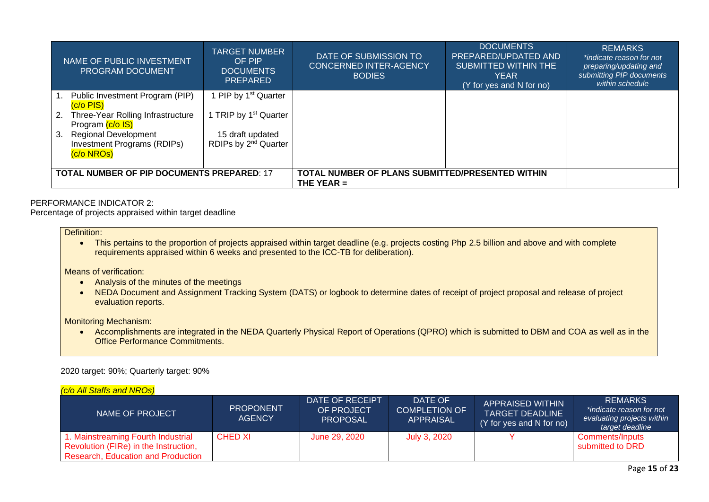| NAME OF PUBLIC INVESTMENT<br><b>PROGRAM DOCUMENT</b>                           | <b>TARGET NUMBER</b><br>OF PIP<br><b>DOCUMENTS</b><br><b>PREPARED</b> | DATE OF SUBMISSION TO<br><b>CONCERNED INTER-AGENCY</b><br><b>BODIES</b> | <b>DOCUMENTS</b><br>PREPARED/UPDATED AND<br><b>SUBMITTED WITHIN THE</b><br><b>YEAR</b><br>(Y for yes and N for no) | <b>REMARKS</b><br>*indicate reason for not<br>preparing/updating and<br>submitting PIP documents<br>within schedule |
|--------------------------------------------------------------------------------|-----------------------------------------------------------------------|-------------------------------------------------------------------------|--------------------------------------------------------------------------------------------------------------------|---------------------------------------------------------------------------------------------------------------------|
| Public Investment Program (PIP)<br>$(c/o$ PIS $)$                              | PIP by 1 <sup>st</sup> Quarter                                        |                                                                         |                                                                                                                    |                                                                                                                     |
| Three-Year Rolling Infrastructure<br>2.<br>Program (c/o IS)                    | I TRIP by 1 <sup>st</sup> Quarter                                     |                                                                         |                                                                                                                    |                                                                                                                     |
| <b>Regional Development</b><br>3.<br>Investment Programs (RDIPs)<br>(c/o NROs) | 15 draft updated<br>RDIPs by 2 <sup>nd</sup> Quarter                  |                                                                         |                                                                                                                    |                                                                                                                     |
| <b>TOTAL NUMBER OF PIP DOCUMENTS PREPARED: 17</b>                              |                                                                       | <b>TOTAL NUMBER OF PLANS SUBMITTED/PRESENTED WITHIN</b><br>THE YEAR $=$ |                                                                                                                    |                                                                                                                     |

Percentage of projects appraised within target deadline

Definition:

• This pertains to the proportion of projects appraised within target deadline (e.g. projects costing Php 2.5 billion and above and with complete requirements appraised within 6 weeks and presented to the ICC-TB for deliberation).

Means of verification:

- Analysis of the minutes of the meetings
- NEDA Document and Assignment Tracking System (DATS) or logbook to determine dates of receipt of project proposal and release of project evaluation reports.

Monitoring Mechanism:

• Accomplishments are integrated in the NEDA Quarterly Physical Report of Operations (QPRO) which is submitted to DBM and COA as well as in the Office Performance Commitments.

## 2020 target: 90%; Quarterly target: 90%

*(c/o All Staffs and NROs)*

| NAME OF PROJECT                                                                                                          | <b>PROPONENT</b><br><b>AGENCY</b> | DATE OF RECEIPT<br>OF PROJECT<br><b>PROPOSAL</b> | DATE OF<br><b>COMPLETION OF</b><br><b>APPRAISAL</b> | <b>APPRAISED WITHIN</b><br><b>TARGET DEADLINE</b><br>(Y for yes and N for no) | <b>REMARKS</b><br>*indicate reason for not<br>evaluating projects within<br>target deadline |
|--------------------------------------------------------------------------------------------------------------------------|-----------------------------------|--------------------------------------------------|-----------------------------------------------------|-------------------------------------------------------------------------------|---------------------------------------------------------------------------------------------|
| 1. Mainstreaming Fourth Industrial<br>Revolution (FIRe) in the Instruction,<br><b>Research. Education and Production</b> | CHED XI                           | June 29, 2020                                    | July 3, 2020                                        |                                                                               | Comments/Inputs<br>submitted to DRD                                                         |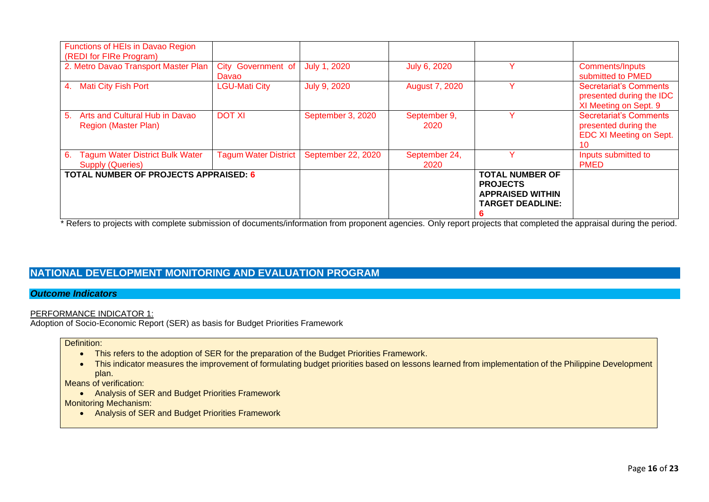| Functions of HEIs in Davao Region<br>(REDI for FIRe Program)            |                             |                    |                       |                                                                                                      |                                                                                        |
|-------------------------------------------------------------------------|-----------------------------|--------------------|-----------------------|------------------------------------------------------------------------------------------------------|----------------------------------------------------------------------------------------|
| 2. Metro Davao Transport Master Plan                                    | City Government of<br>Davao | July 1, 2020       | July 6, 2020          |                                                                                                      | Comments/Inputs<br>submitted to PMED                                                   |
| Mati City Fish Port<br>4.                                               | <b>LGU-Mati City</b>        | July 9, 2020       | <b>August 7, 2020</b> |                                                                                                      | <b>Secretariat's Comments</b><br>presented during the IDC<br>XI Meeting on Sept. 9     |
| Arts and Cultural Hub in Davao<br>5.<br><b>Region (Master Plan)</b>     | <b>DOT XI</b>               | September 3, 2020  | September 9,<br>2020  |                                                                                                      | <b>Secretariat's Comments</b><br>presented during the<br>EDC XI Meeting on Sept.<br>10 |
| <b>Tagum Water District Bulk Water</b><br>6.<br><b>Supply (Queries)</b> | <b>Tagum Water District</b> | September 22, 2020 | September 24,<br>2020 |                                                                                                      | Inputs submitted to<br><b>PMED</b>                                                     |
| <b>TOTAL NUMBER OF PROJECTS APPRAISED: 6</b>                            |                             |                    |                       | <b>TOTAL NUMBER OF</b><br><b>PROJECTS</b><br><b>APPRAISED WITHIN</b><br><b>TARGET DEADLINE:</b><br>h |                                                                                        |

\* Refers to projects with complete submission of documents/information from proponent agencies. Only report projects that completed the appraisal during the period.

# **NATIONAL DEVELOPMENT MONITORING AND EVALUATION PROGRAM**

### *Outcome Indicators*

### PERFORMANCE INDICATOR 1:

Adoption of Socio-Economic Report (SER) as basis for Budget Priorities Framework

### Definition:

- This refers to the adoption of SER for the preparation of the Budget Priorities Framework.
- This indicator measures the improvement of formulating budget priorities based on lessons learned from implementation of the Philippine Development plan.

Means of verification:

• Analysis of SER and Budget Priorities Framework

Monitoring Mechanism:

• Analysis of SER and Budget Priorities Framework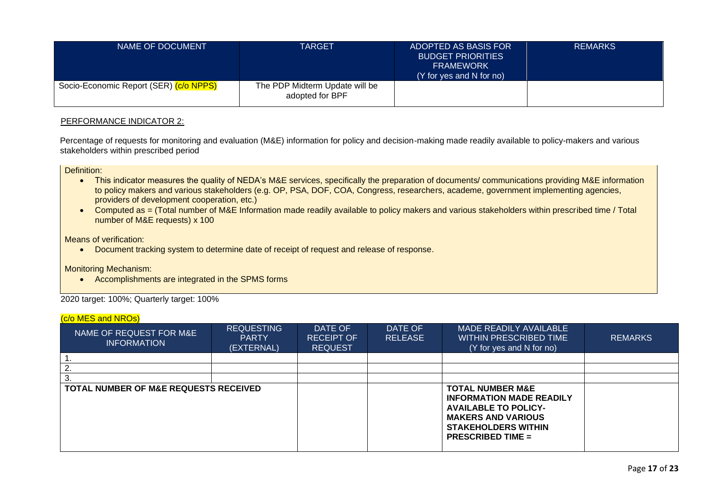| NAME OF DOCUMENT                       | TARGET                                            | ADOPTED AS BASIS FOR<br><b>BUDGET PRIORITIES</b><br>FRAMEWORK<br>(Y for yes and N for no) | <b>REMARKS</b> |
|----------------------------------------|---------------------------------------------------|-------------------------------------------------------------------------------------------|----------------|
| Socio-Economic Report (SER) (c/o NPPS) | The PDP Midterm Update will be<br>adopted for BPF |                                                                                           |                |

Percentage of requests for monitoring and evaluation (M&E) information for policy and decision-making made readily available to policy-makers and various stakeholders within prescribed period

Definition:

- This indicator measures the quality of NEDA's M&E services, specifically the preparation of documents/ communications providing M&E information to policy makers and various stakeholders (e.g. OP, PSA, DOF, COA, Congress, researchers, academe, government implementing agencies, providers of development cooperation, etc.)
- Computed as = (Total number of M&E Information made readily available to policy makers and various stakeholders within prescribed time / Total number of M&E requests) x 100

Means of verification:

• Document tracking system to determine date of receipt of request and release of response.

Monitoring Mechanism:

• Accomplishments are integrated in the SPMS forms

2020 target: 100%; Quarterly target: 100%

| (c/o MES and NROs)                               |                                                 |                                                |                           |                                                                                                                                                                                      |                |
|--------------------------------------------------|-------------------------------------------------|------------------------------------------------|---------------------------|--------------------------------------------------------------------------------------------------------------------------------------------------------------------------------------|----------------|
| NAME OF REQUEST FOR M&E<br><b>INFORMATION</b>    | <b>REQUESTING</b><br><b>PARTY</b><br>(EXTERNAL) | DATE OF<br><b>RECEIPT OF</b><br><b>REQUEST</b> | DATE OF<br><b>RELEASE</b> | MADE READILY AVAILABLE<br><b>WITHIN PRESCRIBED TIME</b><br>(Y for yes and N for no)                                                                                                  | <b>REMARKS</b> |
|                                                  |                                                 |                                                |                           |                                                                                                                                                                                      |                |
|                                                  |                                                 |                                                |                           |                                                                                                                                                                                      |                |
|                                                  |                                                 |                                                |                           |                                                                                                                                                                                      |                |
| <b>TOTAL NUMBER OF M&amp;E REQUESTS RECEIVED</b> |                                                 |                                                |                           | <b>TOTAL NUMBER M&amp;E</b><br><b>INFORMATION MADE READILY</b><br><b>AVAILABLE TO POLICY-</b><br><b>MAKERS AND VARIOUS</b><br><b>STAKEHOLDERS WITHIN</b><br><b>PRESCRIBED TIME =</b> |                |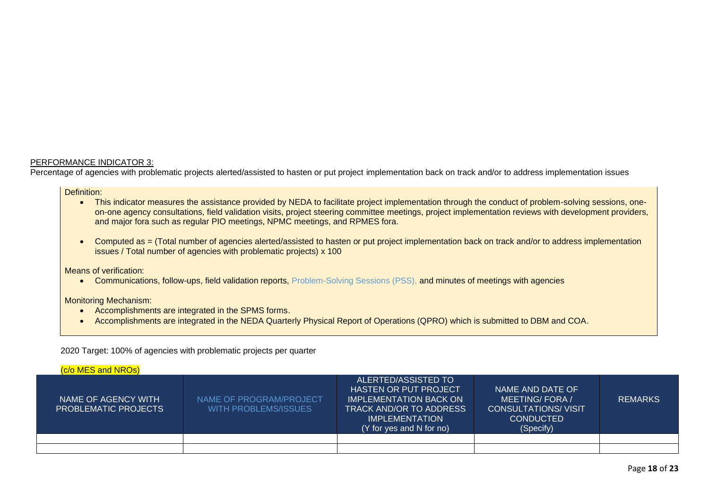Percentage of agencies with problematic projects alerted/assisted to hasten or put project implementation back on track and/or to address implementation issues

#### Definition:

- This indicator measures the assistance provided by NEDA to facilitate project implementation through the conduct of problem-solving sessions, oneon-one agency consultations, field validation visits, project steering committee meetings, project implementation reviews with development providers, and major fora such as regular PIO meetings, NPMC meetings, and RPMES fora.
- Computed as = (Total number of agencies alerted/assisted to hasten or put project implementation back on track and/or to address implementation issues / Total number of agencies with problematic projects) x 100

Means of verification:

• Communications, follow-ups, field validation reports, Problem-Solving Sessions (PSS), and minutes of meetings with agencies

Monitoring Mechanism:

- Accomplishments are integrated in the SPMS forms.
- Accomplishments are integrated in the NEDA Quarterly Physical Report of Operations (QPRO) which is submitted to DBM and COA.

2020 Target: 100% of agencies with problematic projects per quarter

### $(c/a)$  MES and NROs)

| <u>, כסי היום ס שווט וואז סיסו</u>                 |                                                        |                                                                                                                                                                       |                                                                                                         |                |
|----------------------------------------------------|--------------------------------------------------------|-----------------------------------------------------------------------------------------------------------------------------------------------------------------------|---------------------------------------------------------------------------------------------------------|----------------|
| NAME OF AGENCY WITH<br><b>PROBLEMATIC PROJECTS</b> | NAME OF PROGRAM/PROJECT<br><b>WITH PROBLEMS/ISSUES</b> | ALERTED/ASSISTED TO<br><b>HASTEN OR PUT PROJECT</b><br><b>IMPLEMENTATION BACK ON</b><br><b>TRACK AND/OR TO ADDRESS!</b><br>IMPLEMENTATION<br>(Y for yes and N for no) | NAME AND DATE OF<br><b>MEETING/FORA/</b><br><b>CONSULTATIONS/VISIT</b><br><b>CONDUCTED</b><br>(Specify) | <b>REMARKS</b> |
|                                                    |                                                        |                                                                                                                                                                       |                                                                                                         |                |
|                                                    |                                                        |                                                                                                                                                                       |                                                                                                         |                |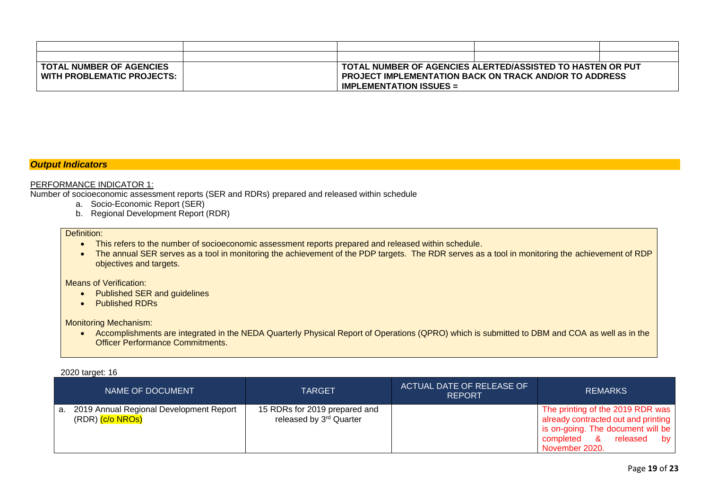| <b>TOTAL NUMBER OF AGENCIES</b> | TOTAL NUMBER OF AGENCIES ALERTED/ASSISTED TO HASTEN OR PUT    |  |  |  |
|---------------------------------|---------------------------------------------------------------|--|--|--|
| WITH PROBLEMATIC PROJECTS:      | <b>PROJECT IMPLEMENTATION BACK ON TRACK AND/OR TO ADDRESS</b> |  |  |  |
|                                 | <b>IMPLEMENTATION ISSUES =</b>                                |  |  |  |

### *Output Indicators*

#### PERFORMANCE INDICATOR 1:

Number of socioeconomic assessment reports (SER and RDRs) prepared and released within schedule

- a. Socio-Economic Report (SER)
- b. Regional Development Report (RDR)

### Definition:

- This refers to the number of socioeconomic assessment reports prepared and released within schedule.
- The annual SER serves as a tool in monitoring the achievement of the PDP targets. The RDR serves as a tool in monitoring the achievement of RDP objectives and targets.

Means of Verification:

- Published SER and guidelines
- Published RDRs

Monitoring Mechanism:

• Accomplishments are integrated in the NEDA Quarterly Physical Report of Operations (QPRO) which is submitted to DBM and COA as well as in the Officer Performance Commitments.

#### 2020 target: 16

| NAME OF DOCUMENT                                                            | <b>TARGET</b>                                                        | ACTUAL DATE OF RELEASE OF<br><b>REPORT</b> | <b>REMARKS</b>                                                                                                                                              |
|-----------------------------------------------------------------------------|----------------------------------------------------------------------|--------------------------------------------|-------------------------------------------------------------------------------------------------------------------------------------------------------------|
| a. 2019 Annual Regional Development Report<br>(RDR) <mark>(c/o NROs)</mark> | 15 RDRs for 2019 prepared and<br>released by 3 <sup>rd</sup> Quarter |                                            | The printing of the 2019 RDR was  <br>already contracted out and printing<br>is on-going. The document will be<br>completed & released by<br>November 2020. |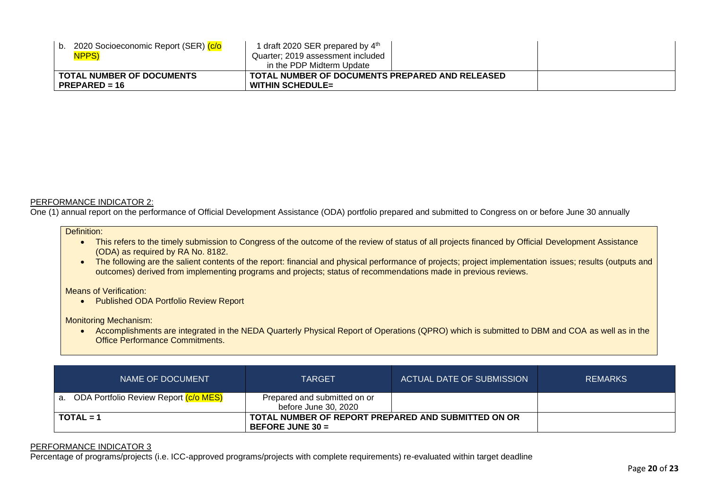| 2020 Socioeconomic Report (SER) <mark>(c/o</mark> | 1 draft 2020 SER prepared by 4 <sup>th</sup>    |  |
|---------------------------------------------------|-------------------------------------------------|--|
| <b>NPPS)</b>                                      | Quarter; 2019 assessment included               |  |
|                                                   | in the PDP Midterm Update                       |  |
| <b>TOTAL NUMBER OF DOCUMENTS</b>                  | TOTAL NUMBER OF DOCUMENTS PREPARED AND RELEASED |  |
| $PREPARENED = 16$                                 | <b>WITHIN SCHEDULE=</b>                         |  |

One (1) annual report on the performance of Official Development Assistance (ODA) portfolio prepared and submitted to Congress on or before June 30 annually

Definition:

- This refers to the timely submission to Congress of the outcome of the review of status of all projects financed by Official Development Assistance (ODA) as required by RA No. 8182.
- The following are the salient contents of the report: financial and physical performance of projects; project implementation issues; results (outputs and outcomes) derived from implementing programs and projects; status of recommendations made in previous reviews.

Means of Verification:

• Published ODA Portfolio Review Report

Monitoring Mechanism:

• Accomplishments are integrated in the NEDA Quarterly Physical Report of Operations (QPRO) which is submitted to DBM and COA as well as in the Office Performance Commitments.

| NAME OF DOCUMENT                      | <b>TARGET</b>                                                             | ACTUAL DATE OF SUBMISSION | <b>REMARKS</b> |
|---------------------------------------|---------------------------------------------------------------------------|---------------------------|----------------|
| ODA Portfolio Review Report (c/o MES) | Prepared and submitted on or<br>before June 30, 2020                      |                           |                |
| $TOTAL = 1$                           | TOTAL NUMBER OF REPORT PREPARED AND SUBMITTED ON OR<br>BEFORE JUNE $30 =$ |                           |                |

### PERFORMANCE INDICATOR 3

Percentage of programs/projects (i.e. ICC-approved programs/projects with complete requirements) re-evaluated within target deadline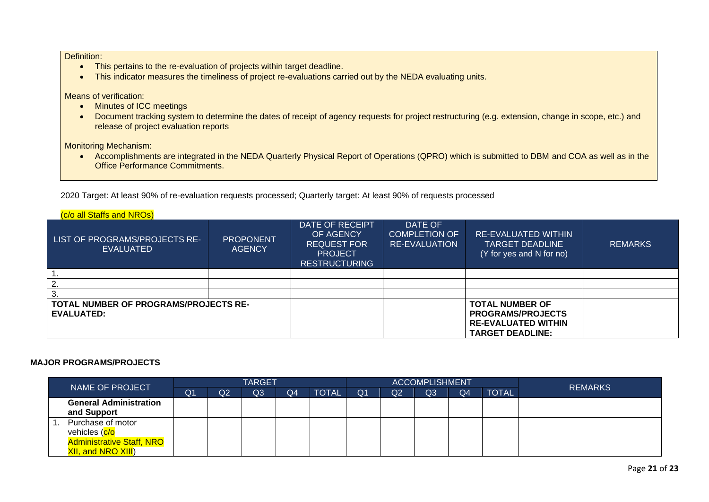### Definition:

- This pertains to the re-evaluation of projects within target deadline.
- This indicator measures the timeliness of project re-evaluations carried out by the NEDA evaluating units.

Means of verification:

- Minutes of ICC meetings
- Document tracking system to determine the dates of receipt of agency requests for project restructuring (e.g. extension, change in scope, etc.) and release of project evaluation reports

Monitoring Mechanism:

• Accomplishments are integrated in the NEDA Quarterly Physical Report of Operations (QPRO) which is submitted to DBM and COA as well as in the Office Performance Commitments.

2020 Target: At least 90% of re-evaluation requests processed; Quarterly target: At least 90% of requests processed

(c/o all Staffs and NROs)

| LIST OF PROGRAMS/PROJECTS RE-<br><b>EVALUATED</b>          | <b>PROPONENT</b><br><b>AGENCY</b> | <b>DATE OF RECEIPT</b><br>OF AGENCY<br><b>REQUEST FOR</b><br><b>PROJECT</b><br><b>RESTRUCTURING</b> | DATE OF<br><b>COMPLETION OF</b><br><b>RE-EVALUATION</b> | <b>RE-EVALUATED WITHIN</b><br><b>TARGET DEADLINE</b><br>(Y for yes and N for no)                            | <b>REMARKS</b> |
|------------------------------------------------------------|-----------------------------------|-----------------------------------------------------------------------------------------------------|---------------------------------------------------------|-------------------------------------------------------------------------------------------------------------|----------------|
|                                                            |                                   |                                                                                                     |                                                         |                                                                                                             |                |
|                                                            |                                   |                                                                                                     |                                                         |                                                                                                             |                |
|                                                            |                                   |                                                                                                     |                                                         |                                                                                                             |                |
| TOTAL NUMBER OF PROGRAMS/PROJECTS RE-<br><b>EVALUATED:</b> |                                   |                                                                                                     |                                                         | <b>TOTAL NUMBER OF</b><br><b>PROGRAMS/PROJECTS</b><br><b>RE-EVALUATED WITHIN</b><br><b>TARGET DEADLINE:</b> |                |

### **MAJOR PROGRAMS/PROJECTS**

|                                                                                                     | <b>TARGET</b> |    |                |                |       |                |    | <b>ACCOMPLISHMENT</b> |    | <b>REMARKS</b> |  |
|-----------------------------------------------------------------------------------------------------|---------------|----|----------------|----------------|-------|----------------|----|-----------------------|----|----------------|--|
| NAME OF PROJECT                                                                                     | Q1            | Q2 | Q <sub>3</sub> | Q <sub>4</sub> | TOTAL | Q <sub>1</sub> | Q2 | Q <sub>3</sub>        | Q4 | <b>TOTAL</b>   |  |
| <b>General Administration</b><br>and Support                                                        |               |    |                |                |       |                |    |                       |    |                |  |
| Purchase of motor<br>vehicles (c/o<br><b>Administrative Staff, NRO</b><br><b>XII, and NRO XIII)</b> |               |    |                |                |       |                |    |                       |    |                |  |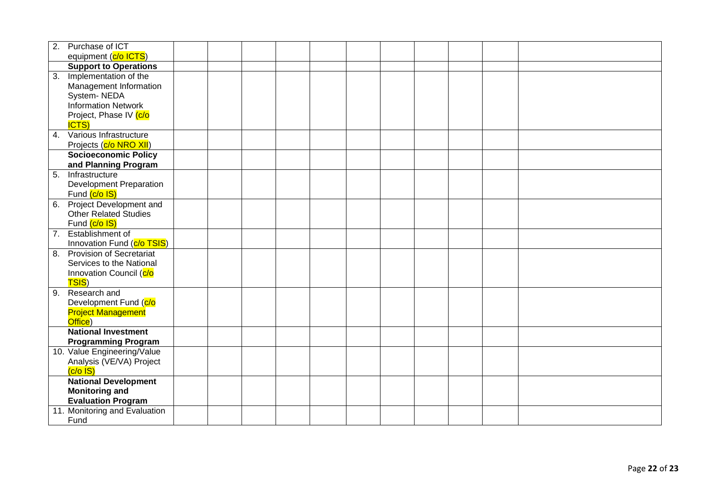| 2.               | Purchase of ICT                                               |  |  |  |  |  |  |
|------------------|---------------------------------------------------------------|--|--|--|--|--|--|
|                  | equipment (c/o ICTS)                                          |  |  |  |  |  |  |
|                  | <b>Support to Operations</b>                                  |  |  |  |  |  |  |
| $\overline{3}$ . | Implementation of the                                         |  |  |  |  |  |  |
|                  | Management Information                                        |  |  |  |  |  |  |
|                  | System-NEDA                                                   |  |  |  |  |  |  |
|                  | Information Network                                           |  |  |  |  |  |  |
|                  | Project, Phase IV (c/o                                        |  |  |  |  |  |  |
|                  | <b>ICTS</b>                                                   |  |  |  |  |  |  |
| 4.               | Various Infrastructure                                        |  |  |  |  |  |  |
|                  | Projects (c/o NRO XII)                                        |  |  |  |  |  |  |
|                  | <b>Socioeconomic Policy</b>                                   |  |  |  |  |  |  |
|                  | and Planning Program                                          |  |  |  |  |  |  |
| 5.               | Infrastructure                                                |  |  |  |  |  |  |
|                  | <b>Development Preparation</b>                                |  |  |  |  |  |  |
|                  | Fund (c/o IS)                                                 |  |  |  |  |  |  |
|                  | 6. Project Development and                                    |  |  |  |  |  |  |
|                  | <b>Other Related Studies</b>                                  |  |  |  |  |  |  |
|                  | Fund (c/o IS)                                                 |  |  |  |  |  |  |
| $\overline{7}$ . | Establishment of                                              |  |  |  |  |  |  |
| 8.               | Innovation Fund (c/o TSIS)<br><b>Provision of Secretariat</b> |  |  |  |  |  |  |
|                  | Services to the National                                      |  |  |  |  |  |  |
|                  | Innovation Council (c/o                                       |  |  |  |  |  |  |
|                  | <b>TSIS</b> )                                                 |  |  |  |  |  |  |
| 9.               | Research and                                                  |  |  |  |  |  |  |
|                  | Development Fund (c/o                                         |  |  |  |  |  |  |
|                  | <b>Project Management</b>                                     |  |  |  |  |  |  |
|                  | Office)                                                       |  |  |  |  |  |  |
|                  | <b>National Investment</b>                                    |  |  |  |  |  |  |
|                  | <b>Programming Program</b>                                    |  |  |  |  |  |  |
|                  | 10. Value Engineering/Value                                   |  |  |  |  |  |  |
|                  | Analysis (VE/VA) Project                                      |  |  |  |  |  |  |
|                  | $(c/o$ IS)                                                    |  |  |  |  |  |  |
|                  | <b>National Development</b>                                   |  |  |  |  |  |  |
|                  | <b>Monitoring and</b>                                         |  |  |  |  |  |  |
|                  | <b>Evaluation Program</b>                                     |  |  |  |  |  |  |
|                  | 11. Monitoring and Evaluation                                 |  |  |  |  |  |  |
|                  | Fund                                                          |  |  |  |  |  |  |